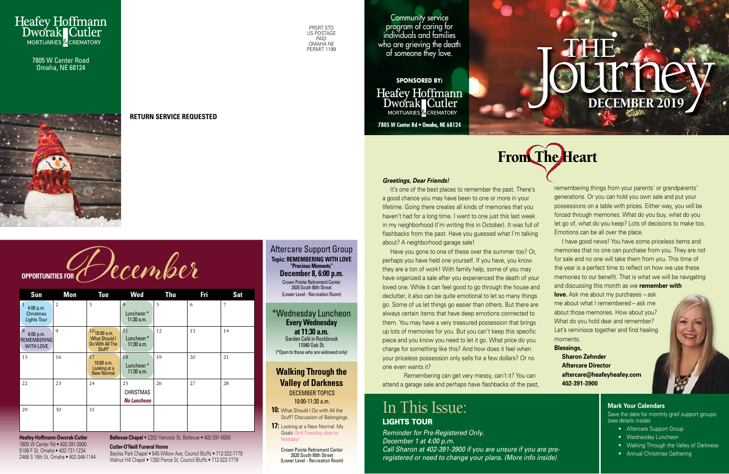

#### **Mark Your Calendars**

Save the date for monthly grief support groups: (see details inside)

- Aftercare Support Group
- Wednesday Luncheon
- Walking Through the Valley of Darkness
- Annual Christmas Gathering

**17:** Looking at a New Normal: My Goals **(3rd Tuesday due to Holiday)**

PRSRT STD US POSTAGE PAID OMAHA NE PFRMIT 1199

#### Aftercare Support Group **Topic: REMEMBERING WITH LOVE "Precious Moments" December 8, 6:00 p.m.** Crown Pointe Retirement Center

## **Walking Through the Valley of Darkness** DECEMBER TOPICS

2820 South 80th Street (Lower Level - Recreation Room)

10:00-11:30 a.m. **10:** What Should I Do with All the Stuff? Discussion of Belongings

> Crown Pointe Retirement Center 2820 South 80th Street (Lower Level - Recreation Room)

# JOURNEY DECEMBER 2019 THE FIRE

It's one of the best places to remember the past. There's a good chance you may have been to one or more in your lifetime. Going there creates all kinds of memories that you haven't had for a long time. I went to one just this last week in my neighborhood (I'm writing this in October). It was full of flashbacks from the past. Have you guessed what I'm talking about? A neighborhood garage sale!

Community service program of caring for individuals and families who are grieving the death of someone they love.



**SPONSORED BY:**

**Heafey Hoffmann** Dworak Cutler MORTUARIES & CREMATORY

**7805 W Center Rd • Omaha, NE 68124**



7805 W Center Road Omaha, NE 68124



#### **RETURN SERVICE REQUESTED**

OPPORTUNITIES FOR A DECEMBER

**Heafey-Hoffmann-Dworak-Cutler** 7805 W Center Rd • 402-391-3900 5108 F St, Omaha • 402-731-1234 2466 S 16th St, Omaha • 402-346-1144

#### *Greetings, Dear Friends!*

## In This Issue: LIGHTS TOUR

Have you gone to one of these over the summer too? Or, perhaps you have held one yourself. If you have, you know they are a ton of work! With family help, some of you may have organized a sale after you experienced the death of your loved one. While it can feel good to go through the house and declutter, it also can be quite emotional to let so many things go. Some of us let things go easier than others. But there are always certain items that have deep emotions connected to them. You may have a very treasured possession that brings up lots of memories for you. But you can't keep this specific piece and you know you need to let it go. What price do you charge for something like this? And how does it feel when your priceless possession only sells for a few dollars? Or no one even wants it?

\*Wednesday Luncheon **Every Wednesday at 11:30 a.m.** Garden Café in Rockbrook 11040 Oak St. (\*Open to those who are widowed only)

| <b>Sun</b>                                                          | <b>Mon</b>     | <b>Tue</b>                                                             | <b>Wed</b>                                   | <b>Thu</b> | Fri | <b>Sat</b>     |
|---------------------------------------------------------------------|----------------|------------------------------------------------------------------------|----------------------------------------------|------------|-----|----------------|
| $\mathbf{1}$<br>4:00 p.m.<br><b>Christmas</b><br><b>Lights Tour</b> | $\overline{2}$ | 3                                                                      | $\overline{4}$<br>Luncheon*<br>11:30 a.m.    | 5          | 6   | $\overline{7}$ |
| 8<br>6:00 p.m.<br><b>REMEMBERING</b><br><b>WITH LOVE</b>            | $\mathbf Q$    | $10_{10:00}$ a.m.<br><b>What Should I</b><br>Do With All The<br>Stuff? | 11<br>Luncheon*<br>$11:30$ a.m.              | 12         | 13  | 14             |
| 15                                                                  | 16             | 17<br>$10:00$ a.m.<br>Looking at a<br><b>New Normal</b>                | 18<br>Luncheon*<br>$11:30$ a.m.              | 19         | 20  | 21             |
| 22                                                                  | 23             | 24                                                                     | 25<br><b>CHRISTMAS</b><br><b>No Luncheon</b> | 26         | 27  | 28             |
| 29                                                                  | 30             | 31                                                                     |                                              |            |     |                |

Remembering can get very messy, can't it? You can attend a garage sale and perhaps have flashbacks of the past, remembering things from your parents' or grandparents' generations. Or you can hold you own sale and put your possessions on a table with prices. Either way, you will be forced through memories. What do you buy, what do you let go of, what do you keep? Lots of decisions to make too. Emotions can be all over the place.

I have good news! You have some priceless items and memories that no one can purchase from you. They are not for sale and no one will take them from you. This time of the year is a perfect time to reflect on how we use these memories to our benefit. That is what we will be navigating and discussing this month as we **remember with love.** Ask me about my purchases – ask

me about what I remembered – ask me about those memories. How about you? What do you hold dear and remember? Let's reminisce together and find healing moments.

## **Blessings, Sharon Zehnder Aftercare Director aftercare@heafeyheafey.com 402-391-3900**

**Bellevue Chapel** • 2202 Hancock St, Bellevue • 402-291-5000

**Cutler-O'Neill Funeral Home**

Bayliss Park Chapel • 545 Willow Ave, Council Bluffs • 712-322-7779 Walnut Hill Chapel • 1350 Pierce St, Council Bluffs • 712-322-7779

*Reminder for Pre-Registered Only. December 1 at 4:00 p.m. Call Sharon at 402-391-3900 if you are unsure if you are preregistered or need to change your plans. (More info inside)*